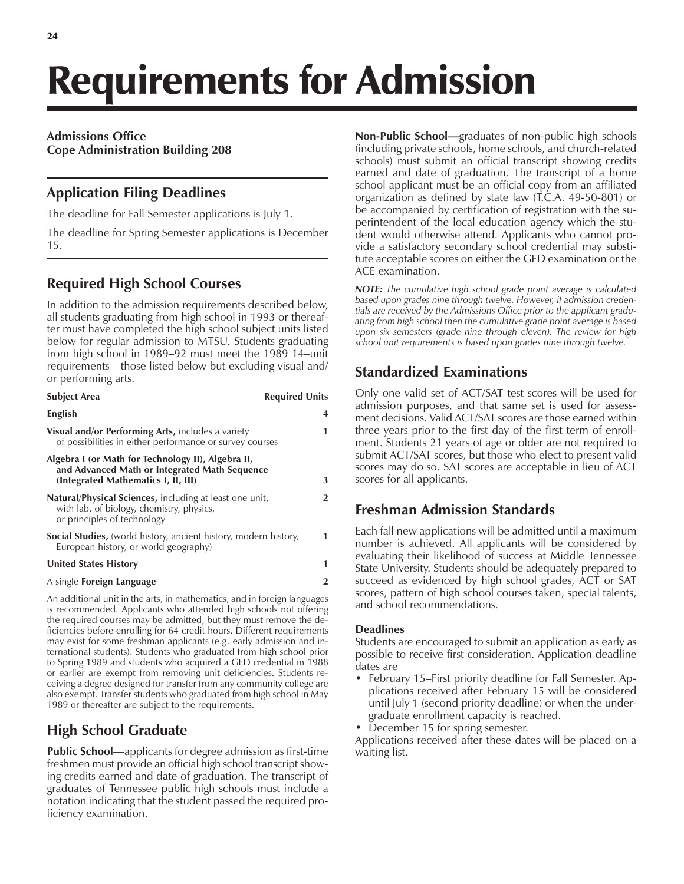# Requirements for Admission

#### **Admissions Office Cope Administration Building 208**

# **Application Filing Deadlines**

The deadline for Fall Semester applications is July 1.

The deadline for Spring Semester applications is December 15.

# **Required High School Courses**

In addition to the admission requirements described below, all students graduating from high school in 1993 or thereafter must have completed the high school subject units listed below for regular admission to MTSU. Students graduating from high school in 1989–92 must meet the 1989 14–unit requirements—those listed below but excluding visual and/ or performing arts.

| <b>Subject Area</b>                                                                                                                           | <b>Required Units</b> |
|-----------------------------------------------------------------------------------------------------------------------------------------------|-----------------------|
| English                                                                                                                                       | 4                     |
| Visual and/or Performing Arts, includes a variety<br>of possibilities in either performance or survey courses                                 | 1                     |
| Algebra I (or Math for Technology II), Algebra II,<br>and Advanced Math or Integrated Math Sequence<br>(Integrated Mathematics I, II, III)    | 3                     |
| <b>Natural/Physical Sciences, including at least one unit,</b><br>with lab, of biology, chemistry, physics,<br>or principles of technology    | $\overline{2}$        |
| <b>Social Studies,</b> (world history, ancient history, modern history,<br>European history, or world geography)                              | 1                     |
| <b>United States History</b>                                                                                                                  | 1                     |
| A single <b>Foreign Language</b>                                                                                                              | $\overline{2}$        |
| An additional unit in the arts, in mathematics, and in foreign languages<br>is recommended. Applicants who attended high schools not offering |                       |

is recommended. Applicants who attended high schools not offering the required courses may be admitted, but they must remove the deficiencies before enrolling for 64 credit hours. Different requirements may exist for some freshman applicants (e.g. early admission and international students). Students who graduated from high school prior to Spring 1989 and students who acquired a GED credential in 1988 or earlier are exempt from removing unit deficiencies. Students receiving a degree designed for transfer from any community college are also exempt. Transfer students who graduated from high school in May 1989 or thereafter are subject to the requirements.

# **High School Graduate**

**Public School**—applicants for degree admission as first-time freshmen must provide an official high school transcript showing credits earned and date of graduation. The transcript of graduates of Tennessee public high schools must include a notation indicating that the student passed the required proficiency examination.

**Non-Public School—**graduates of non-public high schools (including private schools, home schools, and church-related schools) must submit an official transcript showing credits earned and date of graduation. The transcript of a home school applicant must be an official copy from an affiliated organization as defined by state law (T.C.A. 49-50-801) or be accompanied by certification of registration with the superintendent of the local education agency which the student would otherwise attend. Applicants who cannot provide a satisfactory secondary school credential may substitute acceptable scores on either the GED examination or the ACE examination.

*NOTE: The cumulative high school grade point average is calculated based upon grades nine through twelve. However, if admission credentials are received by the Admissions Office prior to the applicant graduating from high school then the cumulative grade point average is based upon six semesters (grade nine through eleven). The review for high school unit requirements is based upon grades nine through twelve.*

# **Standardized Examinations**

Only one valid set of ACT/SAT test scores will be used for admission purposes, and that same set is used for assessment decisions. Valid ACT/SAT scores are those earned within three years prior to the first day of the first term of enrollment. Students 21 years of age or older are not required to submit ACT/SAT scores, but those who elect to present valid scores may do so. SAT scores are acceptable in lieu of ACT scores for all applicants.

# **Freshman Admission Standards**

Each fall new applications will be admitted until a maximum number is achieved. All applicants will be considered by evaluating their likelihood of success at Middle Tennessee State University. Students should be adequately prepared to succeed as evidenced by high school grades, ACT or SAT scores, pattern of high school courses taken, special talents, and school recommendations.

#### **Deadlines**

Students are encouraged to submit an application as early as possible to receive first consideration. Application deadline dates are

- February 15–First priority deadline for Fall Semester. Applications received after February 15 will be considered until July 1 (second priority deadline) or when the undergraduate enrollment capacity is reached.
- December 15 for spring semester.

Applications received after these dates will be placed on a waiting list.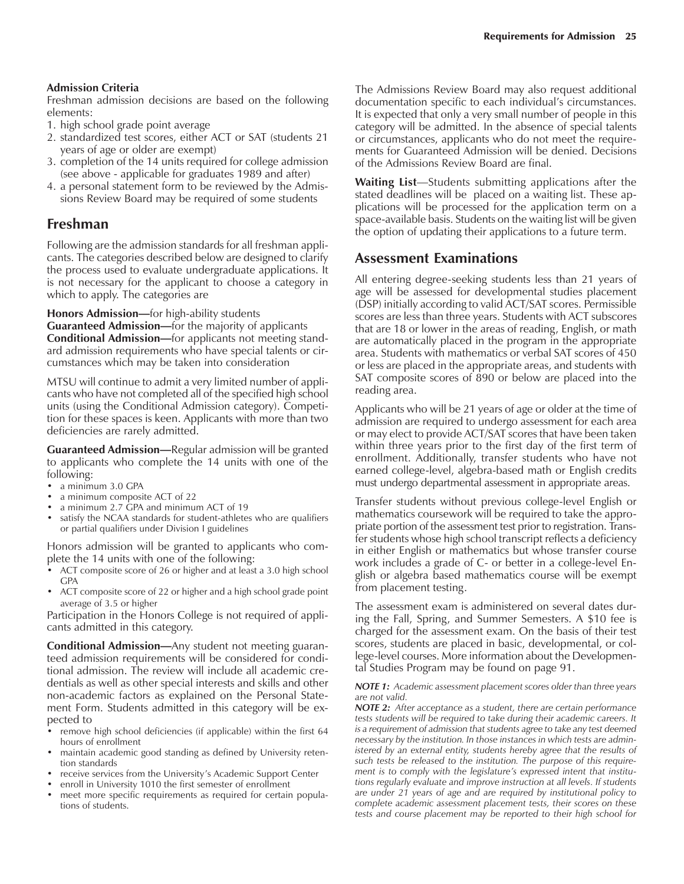#### **Admission Criteria**

Freshman admission decisions are based on the following elements:

- 1. high school grade point average
- 2. standardized test scores, either ACT or SAT (students 21 years of age or older are exempt)
- 3. completion of the 14 units required for college admission (see above - applicable for graduates 1989 and after)
- 4. a personal statement form to be reviewed by the Admissions Review Board may be required of some students

#### **Freshman**

Following are the admission standards for all freshman applicants. The categories described below are designed to clarify the process used to evaluate undergraduate applications. It is not necessary for the applicant to choose a category in which to apply. The categories are

**Honors Admission**—for high-ability students

**Guaranteed Admission—for the majority of applicants Conditional Admission**—for applicants not meeting standard admission requirements who have special talents or circumstances which may be taken into consideration

MTSU will continue to admit a very limited number of applicants who have not completed all of the specified high school units (using the Conditional Admission category). Competition for these spaces is keen. Applicants with more than two deficiencies are rarely admitted.

**Guaranteed Admission—Regular admission will be granted** to applicants who complete the 14 units with one of the following:

- a minimum 3.0 GPA
- a minimum composite ACT of 22
- a minimum 2.7 GPA and minimum ACT of 19
- satisfy the NCAA standards for student-athletes who are qualifiers or partial qualifiers under Division I guidelines

Honors admission will be granted to applicants who complete the 14 units with one of the following:

- ACT composite score of 26 or higher and at least a 3.0 high school GPA
- ACT composite score of 22 or higher and a high school grade point average of 3.5 or higher

Participation in the Honors College is not required of applicants admitted in this category.

**Conditional Admission**—Any student not meeting guaranteed admission requirements will be considered for conditional admission. The review will include all academic credentials as well as other special interests and skills and other non-academic factors as explained on the Personal Statement Form. Students admitted in this category will be expected to

- remove high school deficiencies (if applicable) within the first 64 hours of enrollment
- maintain academic good standing as defined by University retention standards
- receive services from the University's Academic Support Center
- enroll in University 1010 the first semester of enrollment
- meet more specific requirements as required for certain populations of students.

The Admissions Review Board may also request additional documentation specific to each individual's circumstances. It is expected that only a very small number of people in this category will be admitted. In the absence of special talents or circumstances, applicants who do not meet the requirements for Guaranteed Admission will be denied. Decisions of the Admissions Review Board are final.

**Waiting List**—Students submitting applications after the stated deadlines will be placed on a waiting list. These applications will be processed for the application term on a space-available basis. Students on the waiting list will be given the option of updating their applications to a future term.

#### **Assessment Examinations**

All entering degree-seeking students less than 21 years of age will be assessed for developmental studies placement (DSP) initially according to valid ACT/SAT scores. Permissible scores are less than three years. Students with ACT subscores that are 18 or lower in the areas of reading, English, or math are automatically placed in the program in the appropriate area. Students with mathematics or verbal SAT scores of 450 or less are placed in the appropriate areas, and students with SAT composite scores of 890 or below are placed into the reading area.

Applicants who will be 21 years of age or older at the time of admission are required to undergo assessment for each area or may elect to provide ACT/SAT scores that have been taken within three years prior to the first day of the first term of enrollment. Additionally, transfer students who have not earned college-level, algebra-based math or English credits must undergo departmental assessment in appropriate areas.

Transfer students without previous college-level English or mathematics coursework will be required to take the appropriate portion of the assessment test prior to registration. Transfer students whose high school transcript reflects a deficiency in either English or mathematics but whose transfer course work includes a grade of C- or better in a college-level English or algebra based mathematics course will be exempt from placement testing.

The assessment exam is administered on several dates during the Fall, Spring, and Summer Semesters. A \$10 fee is charged for the assessment exam. On the basis of their test scores, students are placed in basic, developmental, or college-level courses. More information about the Developmental Studies Program may be found on page 91.

#### *NOTE 1: Academic assessment placement scores older than three years are not valid.*

*NOTE 2: After acceptance as a student, there are certain performance tests students will be required to take during their academic careers. It is a requirement of admission that students agree to take any test deemed necessary by the institution. In those instances in which tests are administered by an external entity, students hereby agree that the results of such tests be released to the institution. The purpose of this require*ment is to comply with the legislature's expressed intent that institu*tions regularly evaluate and improve instruction at all levels. If students are under 21 years of age and are required by institutional policy to complete academic assessment placement tests, their scores on these tests and course placement may be reported to their high school for*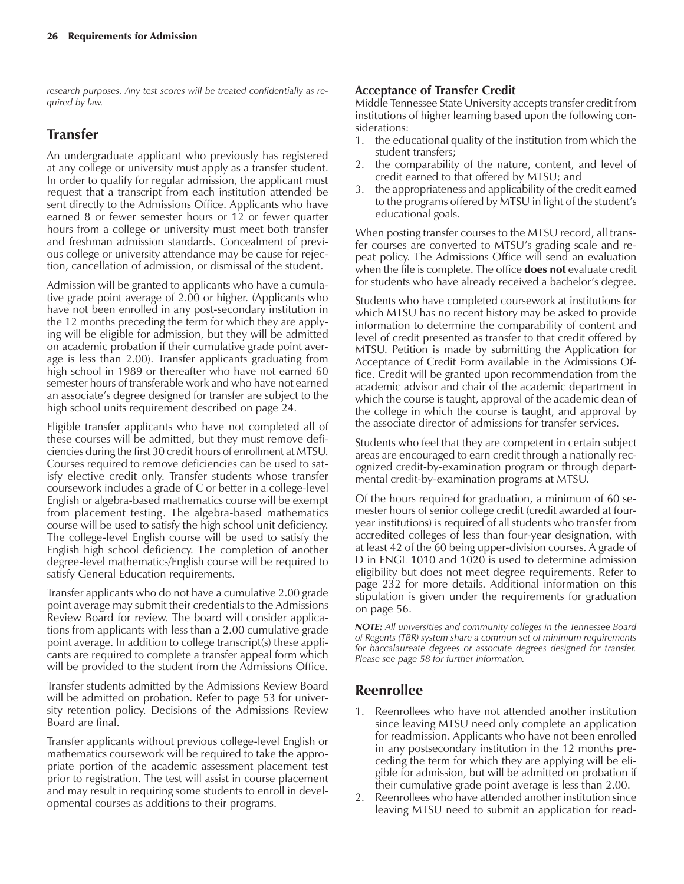*research purposes. Any test scores will be treated confidentially as required by law.*

# **Transfer**

An undergraduate applicant who previously has registered at any college or university must apply as a transfer student. In order to qualify for regular admission, the applicant must request that a transcript from each institution attended be sent directly to the Admissions Office. Applicants who have earned 8 or fewer semester hours or 12 or fewer quarter hours from a college or university must meet both transfer and freshman admission standards. Concealment of previous college or university attendance may be cause for rejection, cancellation of admission, or dismissal of the student.

Admission will be granted to applicants who have a cumulative grade point average of 2.00 or higher. (Applicants who have not been enrolled in any post-secondary institution in the 12 months preceding the term for which they are applying will be eligible for admission, but they will be admitted on academic probation if their cumulative grade point average is less than 2.00). Transfer applicants graduating from high school in 1989 or thereafter who have not earned 60 semester hours of transferable work and who have not earned an associate's degree designed for transfer are subject to the high school units requirement described on page 24.

Eligible transfer applicants who have not completed all of these courses will be admitted, but they must remove deficiencies during the first 30 credit hours of enrollment at MTSU. Courses required to remove deficiencies can be used to satisfy elective credit only. Transfer students whose transfer coursework includes a grade of C or better in a college-level English or algebra-based mathematics course will be exempt from placement testing. The algebra-based mathematics course will be used to satisfy the high school unit deficiency. The college-level English course will be used to satisfy the English high school deficiency. The completion of another degree-level mathematics/English course will be required to satisfy General Education requirements.

Transfer applicants who do not have a cumulative 2.00 grade point average may submit their credentials to the Admissions Review Board for review. The board will consider applications from applicants with less than a 2.00 cumulative grade point average. In addition to college transcript(s) these applicants are required to complete a transfer appeal form which will be provided to the student from the Admissions Office.

Transfer students admitted by the Admissions Review Board will be admitted on probation. Refer to page 53 for university retention policy. Decisions of the Admissions Review Board are final.

Transfer applicants without previous college-level English or mathematics coursework will be required to take the appropriate portion of the academic assessment placement test prior to registration. The test will assist in course placement and may result in requiring some students to enroll in developmental courses as additions to their programs.

#### **Acceptance of Transfer Credit**

Middle Tennessee State University accepts transfer credit from institutions of higher learning based upon the following considerations:

- 1. the educational quality of the institution from which the student transfers;
- 2. the comparability of the nature, content, and level of credit earned to that offered by MTSU; and
- 3. the appropriateness and applicability of the credit earned to the programs offered by MTSU in light of the student's educational goals.

When posting transfer courses to the MTSU record, all transfer courses are converted to MTSU's grading scale and repeat policy. The Admissions Office will send an evaluation when the file is complete. The office **does not** evaluate credit for students who have already received a bachelor's degree.

Students who have completed coursework at institutions for which MTSU has no recent history may be asked to provide information to determine the comparability of content and level of credit presented as transfer to that credit offered by MTSU. Petition is made by submitting the Application for Acceptance of Credit Form available in the Admissions Office. Credit will be granted upon recommendation from the academic advisor and chair of the academic department in which the course is taught, approval of the academic dean of the college in which the course is taught, and approval by the associate director of admissions for transfer services.

Students who feel that they are competent in certain subject areas are encouraged to earn credit through a nationally recognized credit-by-examination program or through departmental credit-by-examination programs at MTSU.

Of the hours required for graduation, a minimum of 60 semester hours of senior college credit (credit awarded at fouryear institutions) is required of all students who transfer from accredited colleges of less than four-year designation, with at least 42 of the 60 being upper-division courses. A grade of D in ENGL 1010 and 1020 is used to determine admission eligibility but does not meet degree requirements. Refer to page 232 for more details. Additional information on this stipulation is given under the requirements for graduation on page 56.

*NOTE: All universities and community colleges in the Tennessee Board of Regents (TBR) system share a common set of minimum requirements for baccalaureate degrees or associate degrees designed for transfer. Please see page 58 for further information.*

## **Reenrollee**

- 1. Reenrollees who have not attended another institution since leaving MTSU need only complete an application for readmission. Applicants who have not been enrolled in any postsecondary institution in the 12 months preceding the term for which they are applying will be eligible for admission, but will be admitted on probation if their cumulative grade point average is less than 2.00.
- 2. Reenrollees who have attended another institution since leaving MTSU need to submit an application for read-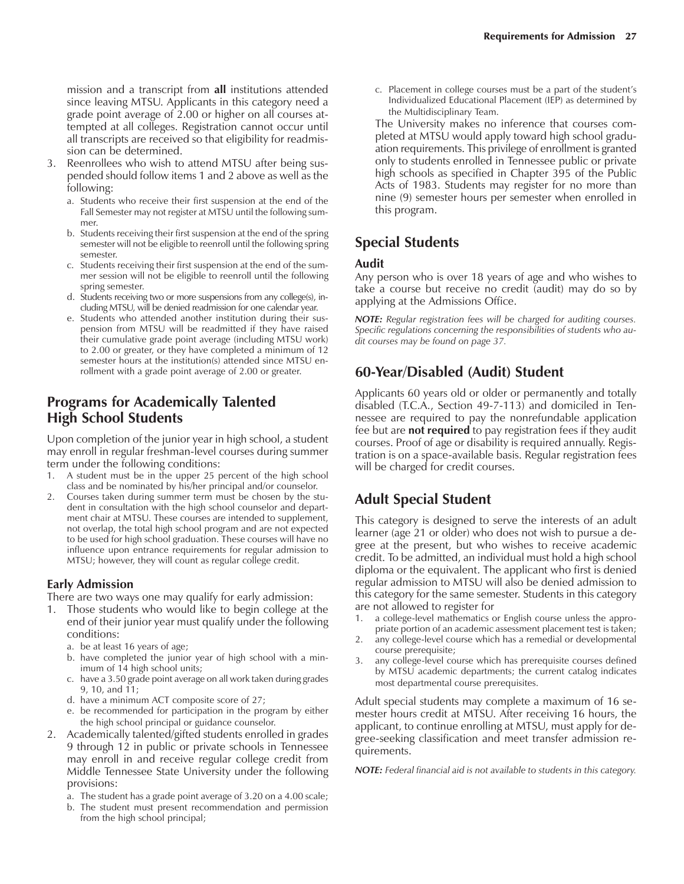mission and a transcript from **all** institutions attended since leaving MTSU. Applicants in this category need a grade point average of 2.00 or higher on all courses attempted at all colleges. Registration cannot occur until all transcripts are received so that eligibility for readmission can be determined.

- 3. Reenrollees who wish to attend MTSU after being suspended should follow items 1 and 2 above as well as the following:
	- a. Students who receive their first suspension at the end of the Fall Semester may not register at MTSU until the following summer.
	- b. Students receiving their first suspension at the end of the spring semester will not be eligible to reenroll until the following spring semester.
	- c. Students receiving their first suspension at the end of the summer session will not be eligible to reenroll until the following spring semester.
	- d. Students receiving two or more suspensions from any college(s), including MTSU, will be denied readmission for one calendar year.
	- e. Students who attended another institution during their suspension from MTSU will be readmitted if they have raised their cumulative grade point average (including MTSU work) to 2.00 or greater, or they have completed a minimum of 12 semester hours at the institution(s) attended since MTSU enrollment with a grade point average of 2.00 or greater.

#### **Programs for Academically Talented High School Students**

Upon completion of the junior year in high school, a student may enroll in regular freshman-level courses during summer term under the following conditions:

- 1. A student must be in the upper 25 percent of the high school class and be nominated by his/her principal and/or counselor.
- 2. Courses taken during summer term must be chosen by the student in consultation with the high school counselor and department chair at MTSU. These courses are intended to supplement, not overlap, the total high school program and are not expected to be used for high school graduation. These courses will have no influence upon entrance requirements for regular admission to MTSU; however, they will count as regular college credit.

#### **Early Admission**

There are two ways one may qualify for early admission:

- 1. Those students who would like to begin college at the end of their junior year must qualify under the following conditions:
	- a. be at least 16 years of age;
	- b. have completed the junior year of high school with a minimum of 14 high school units;
	- c. have a 3.50 grade point average on all work taken during grades 9, 10, and 11;
	- d. have a minimum ACT composite score of 27;
	- e. be recommended for participation in the program by either the high school principal or guidance counselor.
- 2. Academically talented/gifted students enrolled in grades 9 through 12 in public or private schools in Tennessee may enroll in and receive regular college credit from Middle Tennessee State University under the following provisions:
	- a. The student has a grade point average of 3.20 on a 4.00 scale;
	- b. The student must present recommendation and permission from the high school principal;

c. Placement in college courses must be a part of the student's Individualized Educational Placement (IEP) as determined by the Multidisciplinary Team.

The University makes no inference that courses completed at MTSU would apply toward high school graduation requirements. This privilege of enrollment is granted only to students enrolled in Tennessee public or private high schools as specified in Chapter 395 of the Public Acts of 1983. Students may register for no more than nine (9) semester hours per semester when enrolled in this program.

# **Special Students**

#### **Audit**

Any person who is over 18 years of age and who wishes to take a course but receive no credit (audit) may do so by applying at the Admissions Office.

*NOTE: Regular registration fees will be charged for auditing courses. Specific regulations concerning the responsibilities of students who audit courses may be found on page 37.*

# **60-Year/Disabled (Audit) Student**

Applicants 60 years old or older or permanently and totally disabled (T.C.A., Section 49-7-113) and domiciled in Tennessee are required to pay the nonrefundable application fee but are **not required** to pay registration fees if they audit courses. Proof of age or disability is required annually. Registration is on a space-available basis. Regular registration fees will be charged for credit courses.

# **Adult Special Student**

This category is designed to serve the interests of an adult learner (age 21 or older) who does not wish to pursue a degree at the present, but who wishes to receive academic credit. To be admitted, an individual must hold a high school diploma or the equivalent. The applicant who first is denied regular admission to MTSU will also be denied admission to this category for the same semester. Students in this category are not allowed to register for

- a college-level mathematics or English course unless the appropriate portion of an academic assessment placement test is taken;
- 2. any college-level course which has a remedial or developmental course prerequisite;
- 3. any college-level course which has prerequisite courses defined by MTSU academic departments; the current catalog indicates most departmental course prerequisites.

Adult special students may complete a maximum of 16 semester hours credit at MTSU. After receiving 16 hours, the applicant, to continue enrolling at MTSU, must apply for degree-seeking classification and meet transfer admission requirements.

*NOTE: Federal financial aid is not available to students in this category.*